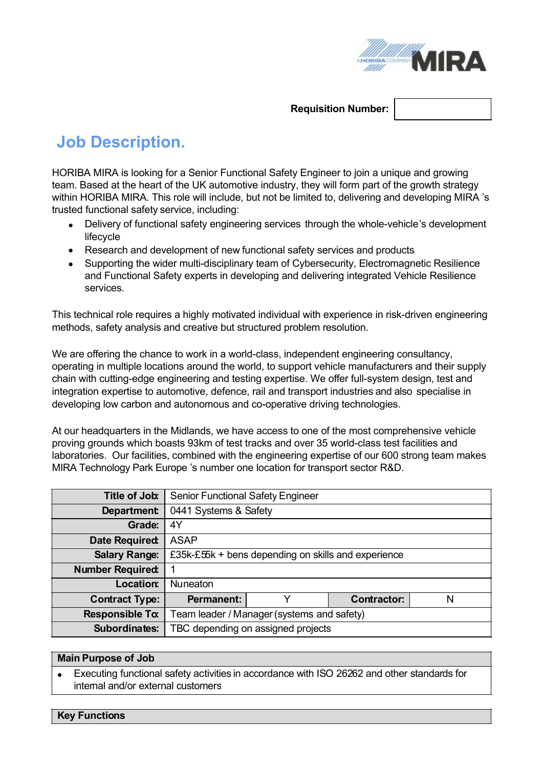

## **Requisition Number:**

# **Job Description.**

HORIBA MIRA is looking for a Senior Functional Safety Engineer to join a unique and growing team. Based at the heart of the UK automotive industry, they will form part of the growth strategy within HORIBA MIRA. This role will include, but not be limited to, delivering and developing MIRA 's trusted functional safety service, including:

- · Delivery of functional safety engineering services through the whole-vehicle's development lifecycle
- · Research and development of new functional safety services and products
- · Supporting the wider multi-disciplinary team of Cybersecurity, Electromagnetic Resilience and Functional Safety experts in developing and delivering integrated Vehicle Resilience services.

This technical role requires a highly motivated individual with experience in risk-driven engineering methods, safety analysis and creative but structured problem resolution.

We are offering the chance to work in a world-class, independent engineering consultancy, operating in multiple locations around the world, to support vehicle manufacturers and their supply chain with cutting-edge engineering and testing expertise. We offer full-system design, test and integration expertise to automotive, defence, rail and transport industries and also specialise in developing low carbon and autonomous and co-operative driving technologies.

At our headquarters in the Midlands, we have access to one of the most comprehensive vehicle proving grounds which boasts 93km of test tracks and over 35 world-class test facilities and laboratories. Our facilities, combined with the engineering expertise of our 600 strong team makes MIRA Technology Park Europe 's number one location for transport sector R&D.

| Title of Job:           | <b>Senior Functional Safety Engineer</b>               |   |                    |   |
|-------------------------|--------------------------------------------------------|---|--------------------|---|
| <b>Department</b>       | 0441 Systems & Safety                                  |   |                    |   |
| Grade:                  | 4Y                                                     |   |                    |   |
| Date Required:          | <b>ASAP</b>                                            |   |                    |   |
| <b>Salary Range:</b>    | £35k-£ $55k + bens$ depending on skills and experience |   |                    |   |
| <b>Number Required:</b> |                                                        |   |                    |   |
| Location:               | <b>Nuneaton</b>                                        |   |                    |   |
| <b>Contract Type:</b>   | <b>Permanent:</b>                                      | v | <b>Contractor:</b> | N |
| <b>Responsible To:</b>  | Team leader / Manager (systems and safety)             |   |                    |   |
| Subordinates:           | TBC depending on assigned projects                     |   |                    |   |

#### **Main Purpose of Job**

Executing functional safety activities in accordance with ISO 26262 and other standards for internal and/or external customers

**Key Functions**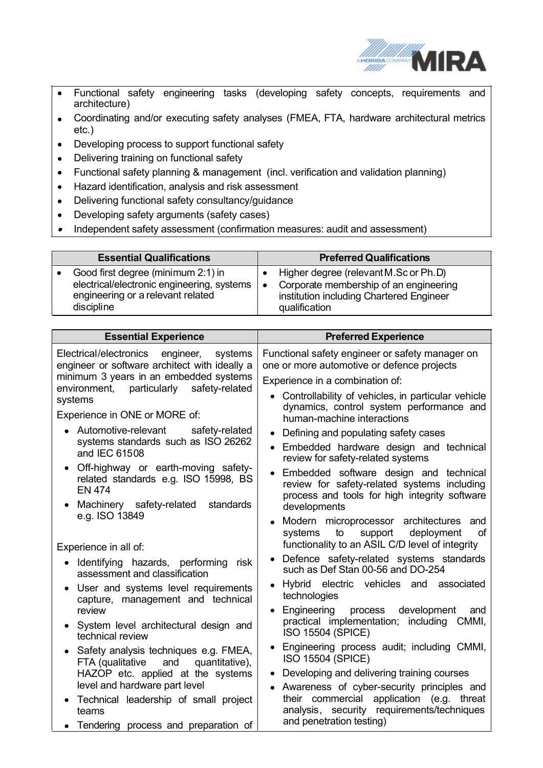

- · Functional safety engineering tasks (developing safety concepts, requirements and architecture)
- · Coordinating and/or executing safety analyses (FMEA, FTA, hardware architectural metrics etc.)
- · Developing process to support functional safety
- · Delivering training on functional safety
- · Functional safety planning & management (incl. verification and validation planning)
- · Hazard identification, analysis and risk assessment
- · Delivering functional safety consultancy/guidance
- · Developing safety arguments (safety cases)
- ·Independent safety assessment (confirmation measures: audit and assessment)

| <b>Essential Qualifications</b>            | <b>Preferred Qualifications</b>          |
|--------------------------------------------|------------------------------------------|
| Good first degree (minimum 2:1) in         | Higher degree (relevant M.Sc or Ph.D)    |
| electrical/electronic engineering, systems | Corporate membership of an engineering   |
| engineering or a relevant related          | institution including Chartered Engineer |
| discipline                                 | qualification                            |

| <b>Essential Experience</b>                                                                  | <b>Preferred Experience</b>                                                                                                                                |  |  |
|----------------------------------------------------------------------------------------------|------------------------------------------------------------------------------------------------------------------------------------------------------------|--|--|
| Electrical/electronics engineer,<br>systems<br>engineer or software architect with ideally a | Functional safety engineer or safety manager on<br>one or more automotive or defence projects                                                              |  |  |
| minimum 3 years in an embedded systems<br>environment, particularly safety-related           | Experience in a combination of:<br>• Controllability of vehicles, in particular vehicle<br>dynamics, control system performance and                        |  |  |
| systems                                                                                      |                                                                                                                                                            |  |  |
| Experience in ONE or MORE of:                                                                | human-machine interactions                                                                                                                                 |  |  |
| • Automotive-relevant<br>safety-related<br>systems standards such as ISO 26262               | Defining and populating safety cases                                                                                                                       |  |  |
| and IEC 61508                                                                                | Embedded hardware design and technical<br>$\bullet$<br>review for safety-related systems                                                                   |  |  |
| Off-highway or earth-moving safety-<br>related standards e.g. ISO 15998, BS<br><b>EN 474</b> | Embedded software design and technical<br>$\bullet$<br>review for safety-related systems including<br>process and tools for high integrity software        |  |  |
| Machinery safety-related<br>standards                                                        | developments                                                                                                                                               |  |  |
| e.g. ISO 13849<br>Experience in all of:                                                      | Modern microprocessor architectures<br>and<br>$\bullet$<br>deployment<br>systems<br>to<br>support<br>of<br>functionality to an ASIL C/D level of integrity |  |  |
| Identifying hazards, performing risk<br>assessment and classification                        | • Defence safety-related systems standards<br>such as Def Stan 00-56 and DO-254                                                                            |  |  |
| User and systems level requirements<br>capture, management and technical                     | • Hybrid electric vehicles and associated<br>technologies                                                                                                  |  |  |
| review                                                                                       | development<br>• Engineering<br>process<br>and                                                                                                             |  |  |
| System level architectural design and<br>technical review                                    | practical implementation; including<br>CMMI,<br><b>ISO 15504 (SPICE)</b>                                                                                   |  |  |
| Safety analysis techniques e.g. FMEA,<br>FTA (qualitative<br>and<br>quantitative),           | Engineering process audit; including CMMI,<br>$\bullet$<br><b>ISO 15504 (SPICE)</b>                                                                        |  |  |
| HAZOP etc. applied at the systems<br>level and hardware part level                           | Developing and delivering training courses<br>Awareness of cyber-security principles and<br>$\bullet$                                                      |  |  |
| Technical leadership of small project<br>teams                                               | their commercial application (e.g. threat<br>analysis, security requirements/techniques                                                                    |  |  |
| • Tendering process and preparation of                                                       | and penetration testing)                                                                                                                                   |  |  |